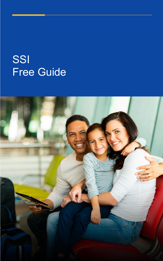# SSI Free Guide

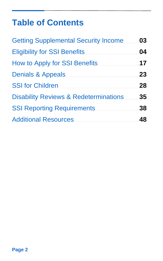# **Table of Contents**

| <b>Getting Supplemental Security Income</b>      | 03 |
|--------------------------------------------------|----|
| <b>Eligibility for SSI Benefits</b>              | 04 |
| <b>How to Apply for SSI Benefits</b>             | 17 |
| <b>Denials &amp; Appeals</b>                     | 23 |
| <b>SSI for Children</b>                          | 28 |
| <b>Disability Reviews &amp; Redeterminations</b> | 35 |
| <b>SSI Reporting Requirements</b>                | 38 |
| <b>Additional Resources</b>                      | 48 |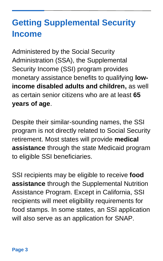# <span id="page-2-0"></span>**Getting Supplemental Security Income**

Administered by the Social Security Administration (SSA), the Supplemental Security Income (SSI) program provides monetary assistance benefits to qualifying **lowincome disabled adults and children,** as well as certain senior citizens who are at least **65 years of age**.

Despite their similar-sounding names, the SSI program is not directly related to Social Security retirement. Most states will provide **medical assistance** through the state Medicaid program to eligible SSI beneficiaries.

SSI recipients may be eligible to receive **food assistance** through the Supplemental Nutrition Assistance Program. Except in California, SSI recipients will meet eligibility requirements for food stamps. In some states, an SSI application will also serve as an application for SNAP.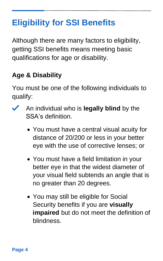# <span id="page-3-0"></span>**Eligibility for SSI Benefits**

Although there are many factors to eligibility, getting SSI benefits means meeting basic qualifications for age or disability.

# **Age & Disability**

You must be one of the following individuals to qualify:

- An individual who is **legally blind** by the  $\checkmark$ SSA's definition.
	- You must have a central visual acuity for distance of 20/200 or less in your better eye with the use of corrective lenses; or
	- You must have a field limitation in your better eye in that the widest diameter of your visual field subtends an angle that is no greater than 20 degrees.
	- You may still be eligible for Social Security benefits if you are **visually impaired** but do not meet the definition of blindness.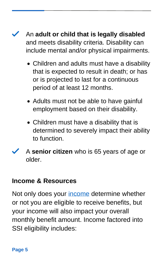An **adult or child that is legally disabled** and meets disability criteria. Disability can include mental and/or physical impairments.

- Children and adults must have a disability that is expected to result in death; or has or is projected to last for a continuous period of at least 12 months.
- Adults must not be able to have gainful employment based on their disability.
- Children must have a disability that is determined to severely impact their ability to function.
- A **senior citizen** who is 65 years of age or older.

#### **Income & Resources**

Not only does your [income](https://www.ssa.gov/ssi/text-income-ussi.htm) determine whether or not you are eligible to receive benefits, but your income will also impact your overall monthly benefit amount. Income factored into SSI eligibility includes: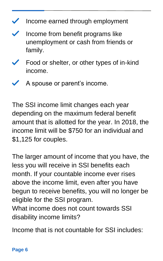- $\checkmark$ Income earned through employment
- Income from benefit programs like ✓ unemployment or cash from friends or family.
- Food or shelter, or other types of in-kind income.
- A spouse or parent's income.

The SSI income limit changes each year depending on the maximum federal benefit amount that is allotted for the year. In 2018, the income limit will be \$750 for an individual and \$1,125 for couples.

The larger amount of income that you have, the less you will receive in SSI benefits each month. If your countable income ever rises above the income limit, even after you have begun to receive benefits, you will no longer be eligible for the SSI program. What income does not count towards SSI disability income limits?

Income that is not countable for SSI includes: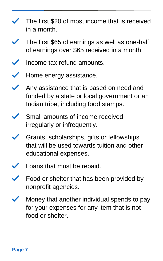- The first \$20 of most income that is received in a month.
- The first \$65 of earnings as well as one-half of earnings over \$65 received in a month.
- Income tax refund amounts.
- Home energy assistance.
- Any assistance that is based on need and funded by a state or local government or an Indian tribe, including food stamps.
- Small amounts of income received irregularly or infrequently.
- Grants, scholarships, gifts or fellowships that will be used towards tuition and other educational expenses.
- Loans that must be repaid.
- Food or shelter that has been provided by nonprofit agencies.
- Money that another individual spends to pay for your expenses for any item that is not food or shelter.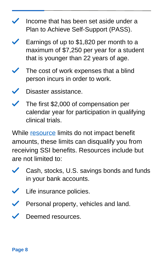- Income that has been set aside under a Plan to Achieve Self-Support (PASS).
- Earnings of up to \$1,820 per month to a maximum of \$7,250 per year for a student that is younger than 22 years of age.
- The cost of work expenses that a blind person incurs in order to work.
- Disaster assistance.
- $\checkmark$ The first \$2,000 of compensation per calendar year for participation in qualifying clinical trials.

While **resource** limits do not impact benefit amounts, these limits can disqualify you from receiving SSI benefits. Resources include but are not limited to:

- Cash, stocks, U.S. savings bonds and funds  $\checkmark$ in your bank accounts.
- ✓ Life insurance policies.
- Personal property, vehicles and land.  $\checkmark$
- Deemed resources.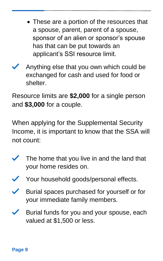- These are a portion of the resources that a spouse, parent, parent of a spouse, sponsor of an alien or sponsor's spouse has that can be put towards an applicant's SSI resource limit.
- Anything else that you own which could be exchanged for cash and used for food or shelter.

Resource limits are **\$2,000** for a single person and **\$3,000** for a couple.

When applying for the Supplemental Security Income, it is important to know that the SSA will not count:

- The home that you live in and the land that your home resides on.
- Your household goods/personal effects.
- Burial spaces purchased for yourself or for your immediate family members.
- Burial funds for you and your spouse, each valued at \$1,500 or less.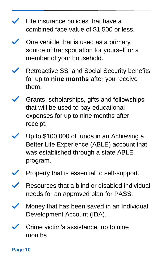- $\blacktriangleright$  Life insurance policies that have a combined face value of \$1,500 or less.
- One vehicle that is used as a primary source of transportation for yourself or a member of your household.
- Retroactive SSI and Social Security benefits for up to **nine months** after you receive them.
- Grants, scholarships, gifts and fellowships that will be used to pay educational expenses for up to nine months after receipt.
- Up to \$100,000 of funds in an Achieving a Better Life Experience (ABLE) account that was established through a state ABLE program.
- Property that is essential to self-support.
- Resources that a blind or disabled individual needs for an approved plan for PASS.
- Money that has been saved in an Individual Development Account (IDA).
- Crime victim's assistance, up to nine months.

**Page 10**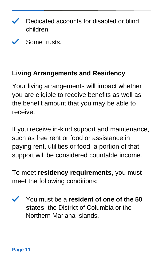- Dedicated accounts for disabled or blind ✓ children.
- Some trusts.

### **Living Arrangements and Residency**

Your living arrangements will impact whether you are eligible to receive benefits as well as the benefit amount that you may be able to receive.

If you receive in-kind support and maintenance, such as free rent or food or assistance in paying rent, utilities or food, a portion of that support will be considered countable income.

To meet **residency requirements**, you must meet the following conditions:

 $\checkmark$ You must be a **resident of one of the 50 states**, the District of Columbia or the Northern Mariana Islands.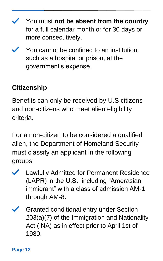You must **not be absent from the country** for a full calendar month or for 30 days or more consecutively.

You cannot be confined to an institution, such as a hospital or prison, at the government's expense.

# **Citizenship**

Benefits can only be received by U.S citizens and non-citizens who meet alien eligibility criteria.

For a non-citizen to be considered a qualified alien, the Department of Homeland Security must classify an applicant in the following groups:

- Lawfully Admitted for Permanent Residence  $\checkmark$ (LAPR) in the U.S., including "Amerasian immigrant" with a class of admission AM-1 through AM-8.
- Granted conditional entry under Section 203(a)(7) of the Immigration and Nationality Act (INA) as in effect prior to April 1st of 1980.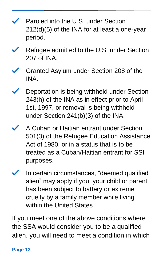- Paroled into the U.S. under Section 212(d)(5) of the INA for at least a one-year period.
- Refugee admitted to the U.S. under Section 207 of INA.
- Granted Asylum under Section 208 of the INA.
- Deportation is being withheld under Section 243(h) of the INA as in effect prior to April 1st, 1997, or removal is being withheld under Section 241(b)(3) of the INA.
- A Cuban or Haitian entrant under Section 501(3) of the Refugee Education Assistance Act of 1980, or in a status that is to be treated as a Cuban/Haitian entrant for SSI purposes.
- In certain circumstances, "deemed qualified alien" may apply if you, your child or parent has been subject to battery or extreme cruelty by a family member while living within the United States.

If you meet one of the above conditions where the SSA would consider you to be a qualified alien, you will need to meet a condition in which

#### **Page 13**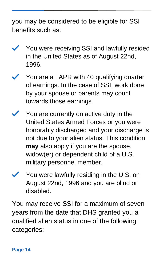you may be considered to be eligible for SSI benefits such as:

- You were receiving SSI and lawfully resided in the United States as of August 22nd, 1996.
- You are a LAPR with 40 qualifying quarter of earnings. In the case of SSI, work done by your spouse or parents may count towards those earnings.
- You are currently on active duty in the United States Armed Forces or you were honorably discharged and your discharge is not due to your alien status. This condition **may** also apply if you are the spouse, widow(er) or dependent child of a U.S. military personnel member.
- You were lawfully residing in the U.S. on August 22nd, 1996 and you are blind or disabled.

You may receive SSI for a maximum of seven years from the date that DHS granted you a qualified alien status in one of the following categories: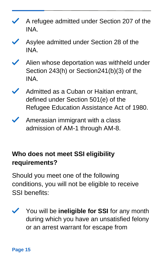- A refugee admitted under Section 207 of the INA.
- Asylee admitted under Section 28 of the INA.
- Alien whose deportation was withheld under Section 243(h) or Section241(b)(3) of the INA.
- Admitted as a Cuban or Haitian entrant, defined under Section 501(e) of the Refugee Education Assistance Act of 1980.
- $\blacktriangleright$  Amerasian immigrant with a class admission of AM-1 through AM-8.

# **Who does not meet SSI eligibility requirements?**

Should you meet one of the following conditions, you will not be eligible to receive SSI benefits:

You will be **ineligible for SSI** for any month during which you have an unsatisfied felony or an arrest warrant for escape from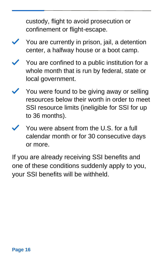custody, flight to avoid prosecution or confinement or flight-escape.

- You are currently in prison, jail, a detention center, a halfway house or a boot camp.
- You are confined to a public institution for a whole month that is run by federal, state or local government.
- You were found to be giving away or selling resources below their worth in order to meet SSI resource limits (ineligible for SSI for up to 36 months).
- You were absent from the U.S. for a full calendar month or for 30 consecutive days or more.

If you are already receiving SSI benefits and one of these conditions suddenly apply to you, your SSI benefits will be withheld.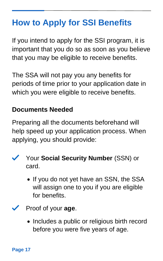# <span id="page-16-0"></span>**How to Apply for SSI Benefits**

If you intend to apply for the SSI program, it is important that you do so as soon as you believe that you may be eligible to receive benefits.

The SSA will not pay you any benefits for periods of time prior to your application date in which you were eligible to receive benefits.

#### **Documents Needed**

Preparing all the documents beforehand will help speed up your application process. When applying, you should provide:

- Your **Social Security Number** (SSN) or card.
	- If you do not yet have an SSN, the SSA will assign one to you if you are eligible for benefits.
- Proof of your **age**.
	- Includes a public or religious birth record before you were five years of age.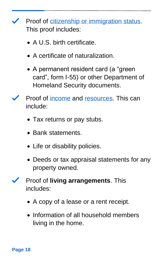**Proof of [citizenship or immigration status.](https://www.ssa.gov/hlp/isba/10/hlp-isba005-ctzn.htm)** This proof includes:

- A U.S. birth certificate
- A certificate of naturalization.
- A permanent resident card (a "green card", form I-55) or other Department of Homeland Security documents.
- Proof of [income](https://www.ssa.gov/ssi/text-eligibility-ussi.htm) and [resources.](https://www.ssa.gov/ssi/text-resources-ussi.htm) This can include:
	- Tax returns or pay stubs.
	- Bank statements.
	- Life or disability policies.
	- Deeds or tax appraisal statements for any property owned.
- Proof of **living arrangements**. This  $\checkmark$ includes:
	- A copy of a lease or a rent receipt.
	- Information of all household members living in the home.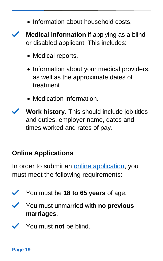- Information about household costs.
- **Medical information** if applying as a blind or disabled applicant. This includes:
	- Medical reports.
	- Information about your medical providers, as well as the approximate dates of treatment.
	- Medication information.
- **Work history**. This should include job titles and duties, employer name, dates and times worked and rates of pay.

#### **Online Applications**

In order to submit an [online application,](https://www.ssa.gov/benefits/disability/) you must meet the following requirements:

- You must be **18 to 65 years** of age.
	- You must unmarried with **no previous marriages**.
	- You must **not** be blind.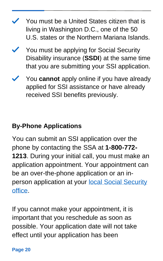- You must be a United States citizen that is living in Washington D.C., one of the 50 U.S. states or the Northern Mariana Islands.
- $\checkmark$  You must be applying for Social Security Disability insurance (**SSDI**) at the same time that you are submitting your SSI application.
- You **cannot** apply online if you have already applied for SSI assistance or have already received SSI benefits previously.

### **By-Phone Applications**

You can submit an SSI application over the phone by contacting the SSA at **1-800-772- 1213**. During your initial call, you must make an application appointment. Your appointment can be an over-the-phone application or an inperson application at your [local Social Security](https://secure.ssa.gov/ICON/main.jsp)  [office.](https://secure.ssa.gov/ICON/main.jsp)

If you cannot make your appointment, it is important that you reschedule as soon as possible. Your application date will not take effect until your application has been

#### **Page 20**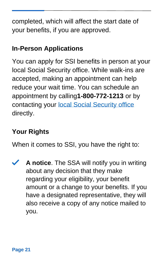completed, which will affect the start date of your benefits, if you are approved.

### **In-Person Applications**

You can apply for SSI benefits in person at your local Social Security office. While walk-ins are accepted, making an appointment can help reduce your wait time. You can schedule an appointment by calling**1-800-772-1213** or by contacting your [local Social Security office](https://secure.ssa.gov/ICON/main.jsp) directly.

### **Your Rights**

When it comes to SSI, you have the right to:

**A notice**. The SSA will notify you in writing  $\checkmark$ about any decision that they make regarding your eligibility, your benefit amount or a change to your benefits. If you have a designated representative, they will also receive a copy of any notice mailed to you.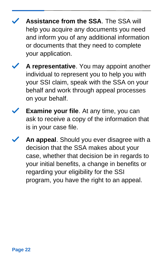- **Assistance from the SSA**. The SSA will help you acquire any documents you need and inform you of any additional information or documents that they need to complete your application.
- **A representative**. You may appoint another individual to represent you to help you with your SSI claim, speak with the SSA on your behalf and work through appeal processes on your behalf.
- **Examine your file**. At any time, you can ask to receive a copy of the information that is in your case file.
- **An appeal**. Should you ever disagree with a decision that the SSA makes about your case, whether that decision be in regards to your initial benefits, a change in benefits or regarding your eligibility for the SSI program, you have the right to an appeal.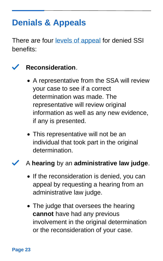# <span id="page-22-0"></span>**Denials & Appeals**

There are four [levels of appeal](https://www.ssa.gov/ssi/text-appeals-ussi.htm) for denied SSI benefits:

## **Reconsideration**.

- A representative from the SSA will review your case to see if a correct determination was made. The representative will review original information as well as any new evidence, if any is presented.
- This representative will not be an individual that took part in the original determination.

#### A **hearing** by an **administrative law judge**.

- If the reconsideration is denied, you can appeal by requesting a hearing from an administrative law judge.
- The judge that oversees the hearing **cannot** have had any previous involvement in the original determination or the reconsideration of your case.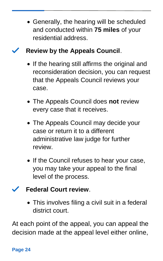• Generally, the hearing will be scheduled and conducted within **75 miles** of your residential address.

### **Review by the Appeals Council**.

- If the hearing still affirms the original and reconsideration decision, you can request that the Appeals Council reviews your case.
- The Appeals Council does **not** review every case that it receives.
- The Appeals Council may decide your case or return it to a different administrative law judge for further review.
- If the Council refuses to hear your case, you may take your appeal to the final level of the process.

### **Federal Court review**.

• This involves filing a civil suit in a federal district court.

At each point of the appeal, you can appeal the decision made at the appeal level either online,

#### **Page 24**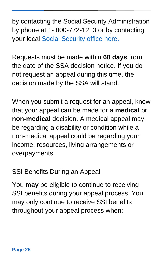by contacting the Social Security Administration by phone at 1- 800-772-1213 or by contacting your local [Social Security office here.](https://secure.ssa.gov/ICON/main.jsp) 

Requests must be made within **60 days** from the date of the SSA decision notice. If you do not request an appeal during this time, the decision made by the SSA will stand.

When you submit a request for an appeal, know that your appeal can be made for a **medical** or **non-medical** decision. A medical appeal may be regarding a disability or condition while a non-medical appeal could be regarding your income, resources, living arrangements or overpayments.

SSI Benefits During an Appeal

You **may** be eligible to continue to receiving SSI benefits during your appeal process. You may only continue to receive SSI benefits throughout your appeal process when: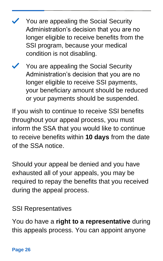- You are appealing the Social Security Administration's decision that you are no longer eligible to receive benefits from the SSI program, because your medical condition is not disabling.
- You are appealing the Social Security Administration's decision that you are no longer eligible to receive SSI payments, your beneficiary amount should be reduced or your payments should be suspended.

If you wish to continue to receive SSI benefits throughout your appeal process, you must inform the SSA that you would like to continue to receive benefits within **10 days** from the date of the SSA notice.

Should your appeal be denied and you have exhausted all of your appeals, you may be required to repay the benefits that you received during the appeal process.

### SSI Representatives

You do have a **right to a representative** during this appeals process. You can appoint anyone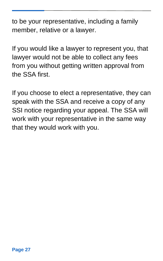to be your representative, including a family member, relative or a lawyer.

If you would like a lawyer to represent you, that lawyer would not be able to collect any fees from you without getting written approval from the SSA first.

If you choose to elect a representative, they can speak with the SSA and receive a copy of any SSI notice regarding your appeal. The SSA will work with your representative in the same way that they would work with you.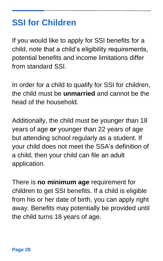# <span id="page-27-0"></span>**SSI for Children**

If you would like to apply for SSI benefits for a child, note that a child's eligibility requirements, potential benefits and income limitations differ from standard SSI.

In order for a child to qualify for SSI for children, the child must be **unmarried** and cannot be the head of the household.

Additionally, the child must be younger than 18 years of age **or** younger than 22 years of age but attending school regularly as a student. If your child does not meet the SSA's definition of a child, then your child can file an adult application.

There is **no minimum age** requirement for children to get SSI benefits. If a child is eligible from his or her date of birth, you can apply right away. Benefits may potentially be provided until the child turns 18 years of age.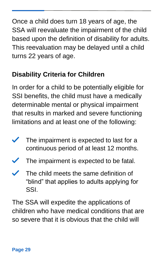Once a child does turn 18 years of age, the SSA will reevaluate the impairment of the child based upon the definition of disability for adults. This reevaluation may be delayed until a child turns 22 years of age.

## **Disability Criteria for Children**

In order for a child to be potentially eligible for SSI benefits, the child must have a medically determinable mental or physical impairment that results in marked and severe functioning limitations and at least one of the following:

- $\checkmark$ The impairment is expected to last for a continuous period of at least 12 months.
- The impairment is expected to be fatal.
- $\checkmark$ The child meets the same definition of "blind" that applies to adults applying for SSI.

The SSA will expedite the applications of children who have medical conditions that are so severe that it is obvious that the child will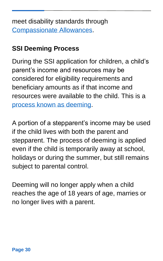meet disability standards through [Compassionate Allowances.](https://www.ssa.gov/compassionateallowances/)

### **SSI Deeming Process**

During the SSI application for children, a child's parent's income and resources may be considered for eligibility requirements and beneficiary amounts as if that income and resources were available to the child. This is a [process known as deeming.](https://www.ssa.gov/ssi/spotlights/spot-deeming.htm)

A portion of a stepparent's income may be used if the child lives with both the parent and stepparent. The process of deeming is applied even if the child is temporarily away at school, holidays or during the summer, but still remains subject to parental control.

Deeming will no longer apply when a child reaches the age of 18 years of age, marries or no longer lives with a parent.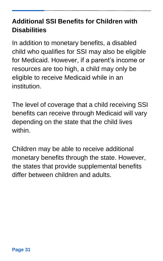### **Additional SSI Benefits for Children with Disabilities**

In addition to monetary benefits, a disabled child who qualifies for SSI may also be eligible for Medicaid. However, if a parent's income or resources are too high, a child may only be eligible to receive Medicaid while in an institution.

The level of coverage that a child receiving SSI benefits can receive through Medicaid will vary depending on the state that the child lives within.

Children may be able to receive additional monetary benefits through the state. However, the states that provide supplemental benefits differ between children and adults.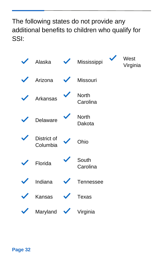### The following states do not provide any additional benefits to children who qualify for SSI:

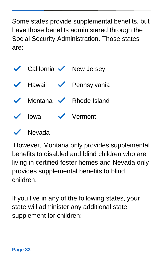Some states provide supplemental benefits, but have those benefits administered through the Social Security Administration. Those states are:

|             | $\checkmark$ California $\checkmark$ New Jersey                 |
|-------------|-----------------------------------------------------------------|
|             | $\blacktriangleright$ Hawaii $\blacktriangleright$ Pennsylvania |
|             | $\sqrt{\phantom{0}}$ Montana $\sqrt{\phantom{0}}$ Rhode Island  |
| $\vee$ lowa | $\checkmark$ Vermont                                            |
|             |                                                                 |



However, Montana only provides supplemental benefits to disabled and blind children who are living in certified foster homes and Nevada only provides supplemental benefits to blind children.

If you live in any of the following states, your state will administer any additional state supplement for children: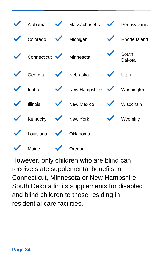|                       | Alabama  Massachusetts   Vennsylvania |                           |                 |
|-----------------------|---------------------------------------|---------------------------|-----------------|
| Colorado V Michigan   |                                       |                           | Rhode Island    |
| Connecticut Minnesota |                                       |                           | South<br>Dakota |
| Georgia V Nebraska    |                                       | $\sqrt{\phantom{a}}$ Utah |                 |
|                       | V Idaho V New Hampshire V Washington  |                           |                 |
|                       | V Illinois V New Mexico V Wisconsin   |                           |                 |
| Kentucky V New York   |                                       |                           | Wyoming         |
| Louisiana V Oklahoma  |                                       |                           |                 |
| Maine $\sqrt{}$       | Oregon                                |                           |                 |

However, only children who are blind can receive state supplemental benefits in Connecticut, Minnesota or New Hampshire. South Dakota limits supplements for disabled and blind children to those residing in residential care facilities.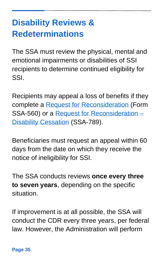# <span id="page-34-0"></span>**Disability Reviews & Redeterminations**

The SSA must review the physical, mental and emotional impairments or disabilities of SSI recipients to determine continued eligibility for SSI.

Recipients may appeal a loss of benefits if they complete a [Request for Reconsideration](https://www.ssa.gov/forms/ssa-561.pdf) (Form SSA-560) or a [Request for Reconsideration –](https://www.ssa.gov/forms/ssa-789.pdf) [Disability Cessation](https://www.ssa.gov/forms/ssa-789.pdf) (SSA-789).

Beneficiaries must request an appeal within 60 days from the date on which they receive the notice of ineligibility for SSI.

The SSA conducts reviews **once every three to seven years**, depending on the specific situation.

If improvement is at all possible, the SSA will conduct the CDR every three years, per federal law. However, the Administration will perform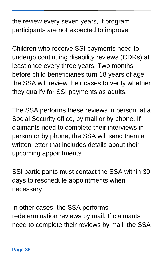the review every seven years, if program participants are not expected to improve.

Children who receive SSI payments need to undergo continuing disability reviews (CDRs) at least once every three years. Two months before child beneficiaries turn 18 years of age, the SSA will review their cases to verify whether they qualify for SSI payments as adults.

The SSA performs these reviews in person, at a Social Security office, by mail or by phone. If claimants need to complete their interviews in person or by phone, the SSA will send them a written letter that includes details about their upcoming appointments.

SSI participants must contact the SSA within 30 days to reschedule appointments when necessary.

In other cases, the SSA performs redetermination reviews by mail. If claimants need to complete their reviews by mail, the SSA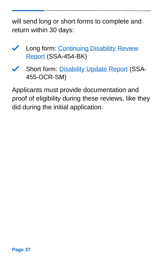will send long or short forms to complete and return within 30 days:

- K Long form: Continuing Disability Review [Report](https://www.reginfo.gov/public/do/DownloadDocument?objectID=68033401) (SSA-454-BK)
- Short form: [Disability Update Report](https://www.reginfo.gov/public/do/DownloadDocument?objectID=24436101) (SSA-455-OCR-SM)

Applicants must provide documentation and proof of eligibility during these reviews, like they did during the initial application.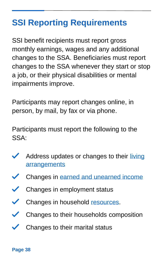# <span id="page-37-0"></span>**SSI Reporting Requirements**

SSI benefit recipients must report gross monthly earnings, wages and any additional changes to the SSA. Beneficiaries must report changes to the SSA whenever they start or stop a job, or their physical disabilities or mental impairments improve.

Participants may report changes online, in person, by mail, by fax or via phone.

Participants must report the following to the SSA:

- Address updates or changes to their living **[arrangements](https://www.ssa.gov/ssi/text-living-ussi.htm)**
- $\checkmark$ Changes in [earned and unearned income](https://www.ssa.gov/ssi/text-income-ussi.htm)
- $\checkmark$ Changes in employment status
- $\checkmark$ Changes in household [resources.](https://www.ssa.gov/ssi/text-resources-ussi.htm)
- Changes to their households composition  $\checkmark$
- Changes to their marital status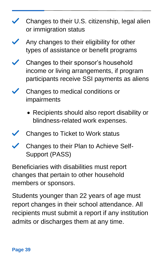- **∕** Changes to their U.S. citizenship, legal alien or immigration status
- Any changes to their eligibility for other types of assistance or benefit programs
- Changes to their sponsor's household income or living arrangements, if program participants receive SSI payments as aliens
- Changes to medical conditions or impairments
	- Recipients should also report disability or blindness-related work expenses.
- Changes to Ticket to Work status
- Changes to their Plan to Achieve Self- $\boldsymbol{\mathscr{S}}$ Support (PASS)

Beneficiaries with disabilities must report changes that pertain to other household members or sponsors.

Students younger than 22 years of age must report changes in their school attendance. All recipients must submit a report if any institution admits or discharges them at any time.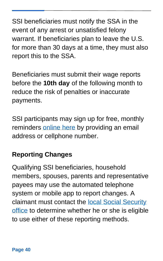SSI beneficiaries must notify the SSA in the event of any arrest or unsatisfied felony warrant. If beneficiaries plan to leave the U.S. for more than 30 days at a time, they must also report this to the SSA.

Beneficiaries must submit their wage reports before the **10th day** of the following month to reduce the risk of penalties or inaccurate payments.

SSI participants may sign up for free, monthly reminders [online here](https://public.govdelivery.com/accounts/USSSA/subscriber/new?topic_id=USSSAWR_1) by providing an email address or cellphone number.

### **Reporting Changes**

Qualifying SSI beneficiaries, household members, spouses, parents and representative payees may use the automated telephone system or mobile app to report changes. A claimant must contact the [local Social Security](https://secure.ssa.gov/ICON/main.jsp)  [office](https://secure.ssa.gov/ICON/main.jsp) to determine whether he or she is eligible to use either of these reporting methods.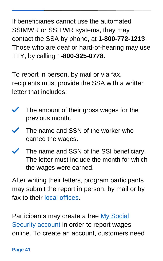If beneficiaries cannot use the automated SSIMWR or SSITWR systems, they may contact the SSA by phone, at **1-800-772-1213**. Those who are deaf or hard-of-hearing may use TTY, by calling 1**-800-325-0778**.

To report in person, by mail or via fax, recipients must provide the SSA with a written letter that includes:

- $\checkmark$ The amount of their gross wages for the previous month.
- The name and SSN of the worker who earned the wages.
- The name and SSN of the SSI beneficiary. The letter must include the month for which the wages were earned.

After writing their letters, program participants may submit the report in person, by mail or by fax to their [local offices.](https://secure.ssa.gov/ICON/main.jsp)

Participants may create a free [My Social](https://secure.ssa.gov/RIR/CatsView.action)  [Security account](https://secure.ssa.gov/RIR/CatsView.action) in order to report wages online. To create an account, customers need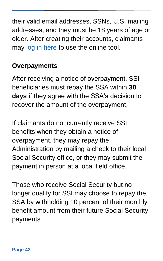their valid email addresses, SSNs, U.S. mailing addresses, and they must be 18 years of age or older. After creating their accounts, claimants may [log in here](https://secure.ssa.gov/RIL/SiView.action) to use the online tool.

### **Overpayments**

After receiving a notice of overpayment, SSI beneficiaries must repay the SSA within **30 days** if they agree with the SSA's decision to recover the amount of the overpayment.

If claimants do not currently receive SSI benefits when they obtain a notice of overpayment, they may repay the Administration by mailing a check to their local Social Security office, or they may submit the payment in person at a local field office.

Those who receive Social Security but no longer qualify for SSI may choose to repay the SSA by withholding 10 percent of their monthly benefit amount from their future Social Security payments.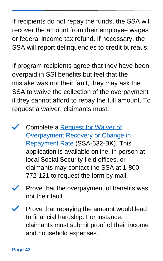If recipients do not repay the funds, the SSA will recover the amount from their employee wages or federal income tax refund. If necessary, the SSA will report delinquencies to credit bureaus.

If program recipients agree that they have been overpaid in SSI benefits but feel that the mistake was not their fault, they may ask the SSA to waive the collection of the overpayment if they cannot afford to repay the full amount. To request a waiver, claimants must:

- Complete a [Request for Waiver of](https://www.ssa.gov/forms/ssa-632.pdf)  [Overpayment Recovery or Change in](https://www.ssa.gov/forms/ssa-632.pdf)  [Repayment Rate](https://www.ssa.gov/forms/ssa-632.pdf) (SSA-632-BK). This application is available online, in person at local Social Security field offices, or claimants may contact the SSA at 1-800- 772-121 to request the form by mail.
- Prove that the overpayment of benefits was not their fault.
- Prove that repaying the amount would lead to financial hardship. For instance, claimants must submit proof of their income and household expenses.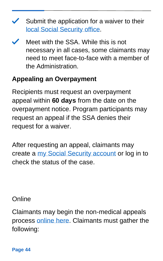- $\checkmark$  Submit the application for a waiver to their [local Social Security office.](https://secure.ssa.gov/ICON/main.jsp)
- Meet with the SSA. While this is not necessary in all cases, some claimants may need to meet face-to-face with a member of the Administration.

### **Appealing an Overpayment**

Recipients must request an overpayment appeal within **60 days** from the date on the overpayment notice. Program participants may request an appeal if the SSA denies their request for a waiver.

After requesting an appeal, claimants may create a [my Social Security account](https://secure.ssa.gov/RIL/SiView.action) or log in to check the status of the case.

### **Online**

Claimants may begin the non-medical appeals process [online here.](https://secure.ssa.gov/iApplNMD/start) Claimants must gather the following:

**Page 44**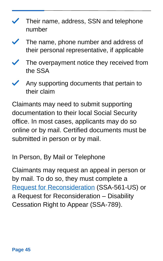- Their name, address, SSN and telephone number
- The name, phone number and address of their personal representative, if applicable
- The overpayment notice they received from the SSA
- Any supporting documents that pertain to their claim

Claimants may need to submit supporting documentation to their local Social Security office. In most cases, applicants may do so online or by mail. Certified documents must be submitted in person or by mail.

In Person, By Mail or Telephone

Claimants may request an appeal in person or by mail. To do so, they must complete a [Request for Reconsideration](https://www.ssa.gov/forms/ssa-561.pdf) (SSA-561-US) or a Request for Reconsideration – Disability Cessation Right to Appear (SSA-789).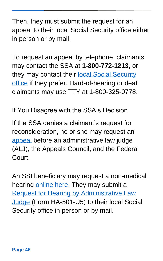Then, they must submit the request for an appeal to their local Social Security office either in person or by mail.

To request an appeal by telephone, claimants may contact the SSA at **1-800-772-1213**, or they may contact their local Social Security [office](https://secure.ssa.gov/ICON/main.jsp) if they prefer. Hard-of-hearing or deaf claimants may use TTY at 1-800-325-0778.

If You Disagree with the SSA's Decision

If the SSA denies a claimant's request for reconsideration, he or she may request an [appeal](https://www.ssa.gov/benefits/disability/appeal.html) before an administrative law judge (ALJ), the Appeals Council, and the Federal Court.

An SSI beneficiary may request a non-medical hearing [online here.](https://secure.ssa.gov/iApplNMD/start) They may submit a [Request for Hearing by Administrative Law](https://www.ssa.gov/forms/ha-501.pdf)  [Judge](https://www.ssa.gov/forms/ha-501.pdf) (Form HA-501-U5) to their local Social Security office in person or by mail.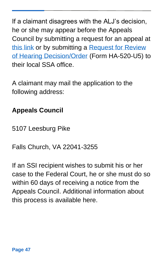If a claimant disagrees with the ALJ's decision, he or she may appear before the Appeals Council by submitting a request for an appeal at [this link](https://secure.ssa.gov/iApplNMD/oao) or by submitting a [Request for Review](https://www.ssa.gov/forms/ha-520.pdf)  [of Hearing Decision/Order](https://www.ssa.gov/forms/ha-520.pdf) (Form HA-520-U5) to their local SSA office.

A claimant may mail the application to the following address:

# **Appeals Council**

5107 Leesburg Pike

Falls Church, VA 22041-3255

If an SSI recipient wishes to submit his or her case to the Federal Court, he or she must do so within 60 days of receiving a notice from the Appeals Council. Additional information about this process is available here.